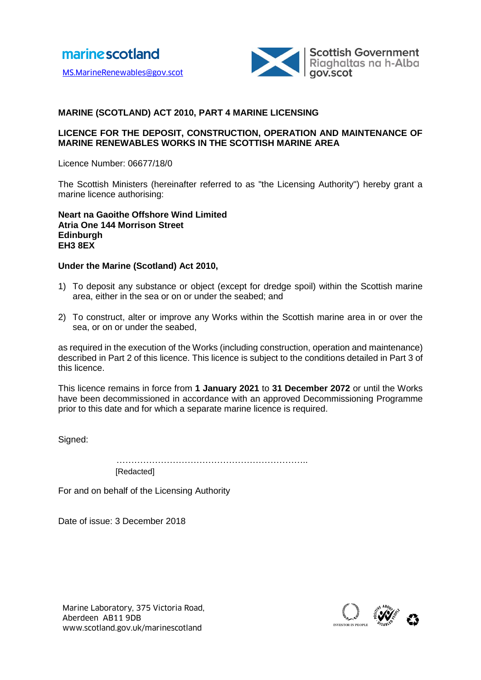

# **MARINE (SCOTLAND) ACT 2010, PART 4 MARINE LICENSING**

#### **LICENCE FOR THE DEPOSIT, CONSTRUCTION, OPERATION AND MAINTENANCE OF MARINE RENEWABLES WORKS IN THE SCOTTISH MARINE AREA**

Licence Number: 06677/18/0

The Scottish Ministers (hereinafter referred to as "the Licensing Authority") hereby grant a marine licence authorising:

**Neart na Gaoithe Offshore Wind Limited Atria One 144 Morrison Street Edinburgh EH3 8EX**

#### **Under the Marine (Scotland) Act 2010,**

- 1) To deposit any substance or object (except for dredge spoil) within the Scottish marine area, either in the sea or on or under the seabed; and
- 2) To construct, alter or improve any Works within the Scottish marine area in or over the sea, or on or under the seabed,

as required in the execution of the Works (including construction, operation and maintenance) described in Part 2 of this licence. This licence is subject to the conditions detailed in Part 3 of this licence.

This licence remains in force from **1 January 2021** to **31 December 2072** or until the Works have been decommissioned in accordance with an approved Decommissioning Programme prior to this date and for which a separate marine licence is required.

Signed:

………………………………………………………………………

[Redacted]

For and on behalf of the Licensing Authority

Date of issue: 3 December 2018

Marine Laboratory, 375 Victoria Road,<br>Aberdeen AB11 9DB<br>www.scotland.gov.uk/marinescotland Aberdeen AB11 9DB

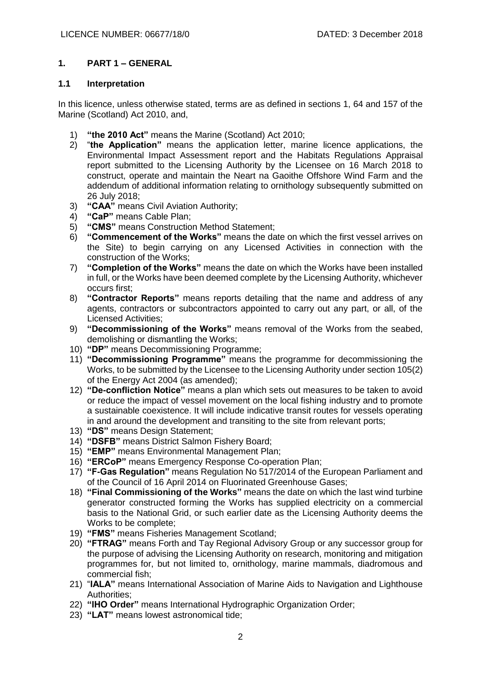# **1. PART 1 – GENERAL**

## **1.1 Interpretation**

In this licence, unless otherwise stated, terms are as defined in sections 1, 64 and 157 of the Marine (Scotland) Act 2010, and,

- 1) **"the 2010 Act"** means the Marine (Scotland) Act 2010;
- 2) "**the Application"** means the application letter, marine licence applications, the Environmental Impact Assessment report and the Habitats Regulations Appraisal report submitted to the Licensing Authority by the Licensee on 16 March 2018 to construct, operate and maintain the Neart na Gaoithe Offshore Wind Farm and the addendum of additional information relating to ornithology subsequently submitted on 26 July 2018;
- 3) **"CAA"** means Civil Aviation Authority;
- 4) **"CaP"** means Cable Plan;
- 5) **"CMS"** means Construction Method Statement;
- 6) **"Commencement of the Works"** means the date on which the first vessel arrives on the Site) to begin carrying on any Licensed Activities in connection with the construction of the Works;
- 7) **"Completion of the Works"** means the date on which the Works have been installed in full, or the Works have been deemed complete by the Licensing Authority, whichever occurs first;
- 8) **"Contractor Reports"** means reports detailing that the name and address of any agents, contractors or subcontractors appointed to carry out any part, or all, of the Licensed Activities;
- 9) **"Decommissioning of the Works"** means removal of the Works from the seabed, demolishing or dismantling the Works;
- 10) **"DP"** means Decommissioning Programme;
- 11) **"Decommissioning Programme"** means the programme for decommissioning the Works, to be submitted by the Licensee to the Licensing Authority under section 105(2) of the Energy Act 2004 (as amended);
- 12) **"De-confliction Notice"** means a plan which sets out measures to be taken to avoid or reduce the impact of vessel movement on the local fishing industry and to promote a sustainable coexistence. It will include indicative transit routes for vessels operating in and around the development and transiting to the site from relevant ports;
- 13) **"DS"** means Design Statement;
- 14) **"DSFB"** means District Salmon Fishery Board;
- 15) **"EMP"** means Environmental Management Plan;
- 16) **"ERCoP"** means Emergency Response Co-operation Plan;
- 17) **"F-Gas Regulation"** means Regulation No 517/2014 of the European Parliament and of the Council of 16 April 2014 on Fluorinated Greenhouse Gases;
- 18) **"Final Commissioning of the Works"** means the date on which the last wind turbine generator constructed forming the Works has supplied electricity on a commercial basis to the National Grid, or such earlier date as the Licensing Authority deems the Works to be complete;
- 19) **"FMS"** means Fisheries Management Scotland;
- 20) **"FTRAG"** means Forth and Tay Regional Advisory Group or any successor group for the purpose of advising the Licensing Authority on research, monitoring and mitigation programmes for, but not limited to, ornithology, marine mammals, diadromous and commercial fish;
- 21) "**IALA"** means International Association of Marine Aids to Navigation and Lighthouse Authorities;
- 22) **"IHO Order"** means International Hydrographic Organization Order;
- 23) **"LAT"** means lowest astronomical tide;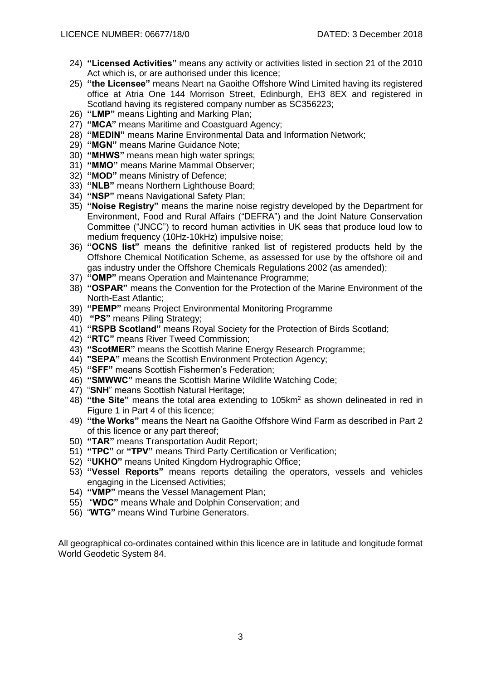- 24) **"Licensed Activities"** means any activity or activities listed in section 21 of the 2010 Act which is, or are authorised under this licence;
- 25) **"the Licensee"** means Neart na Gaoithe Offshore Wind Limited having its registered office at Atria One 144 Morrison Street, Edinburgh, EH3 8EX and registered in Scotland having its registered company number as SC356223:
- 26) **"LMP"** means Lighting and Marking Plan;
- 27) **"MCA"** means Maritime and Coastguard Agency;
- 28) **"MEDIN"** means Marine Environmental Data and Information Network;
- 29) **"MGN"** means Marine Guidance Note;
- 30) **"MHWS"** means mean high water springs;
- 31) **"MMO"** means Marine Mammal Observer;
- 32) **"MOD"** means Ministry of Defence;
- 33) **"NLB"** means Northern Lighthouse Board;
- 34) **"NSP"** means Navigational Safety Plan;
- 35) **"Noise Registry"** means the marine noise registry developed by the Department for Environment, Food and Rural Affairs ("DEFRA") and the Joint Nature Conservation Committee ("JNCC") to record human activities in UK seas that produce loud low to medium frequency (10Hz-10kHz) impulsive noise;
- 36) **"OCNS list"** means the definitive ranked list of registered products held by the Offshore Chemical Notification Scheme, as assessed for use by the offshore oil and gas industry under the Offshore Chemicals Regulations 2002 (as amended);
- 37) **"OMP"** means Operation and Maintenance Programme;
- 38) **"OSPAR"** means the Convention for the Protection of the Marine Environment of the North-East Atlantic;
- 39) **"PEMP"** means Project Environmental Monitoring Programme
- 40) **"PS"** means Piling Strategy;
- 41) **"RSPB Scotland"** means Royal Society for the Protection of Birds Scotland;
- 42) **"RTC"** means River Tweed Commission;
- 43) **"ScotMER"** means the Scottish Marine Energy Research Programme;
- 44) **"SEPA"** means the Scottish Environment Protection Agency;
- 45) **"SFF"** means Scottish Fishermen's Federation;
- 46) **"SMWWC"** means the Scottish Marine Wildlife Watching Code;
- 47) "**SNH**" means Scottish Natural Heritage;
- 48) **"the Site"** means the total area extending to 105km<sup>2</sup> as shown delineated in red in Figure 1 in Part 4 of this licence;
- 49) **"the Works"** means the Neart na Gaoithe Offshore Wind Farm as described in Part 2 of this licence or any part thereof;
- 50) **"TAR"** means Transportation Audit Report;
- 51) **"TPC"** or **"TPV"** means Third Party Certification or Verification;
- 52) **"UKHO"** means United Kingdom Hydrographic Office;
- 53) **"Vessel Reports"** means reports detailing the operators, vessels and vehicles engaging in the Licensed Activities;
- 54) **"VMP"** means the Vessel Management Plan;
- 55) "**WDC"** means Whale and Dolphin Conservation; and
- 56) "**WTG"** means Wind Turbine Generators.

All geographical co-ordinates contained within this licence are in latitude and longitude format World Geodetic System 84.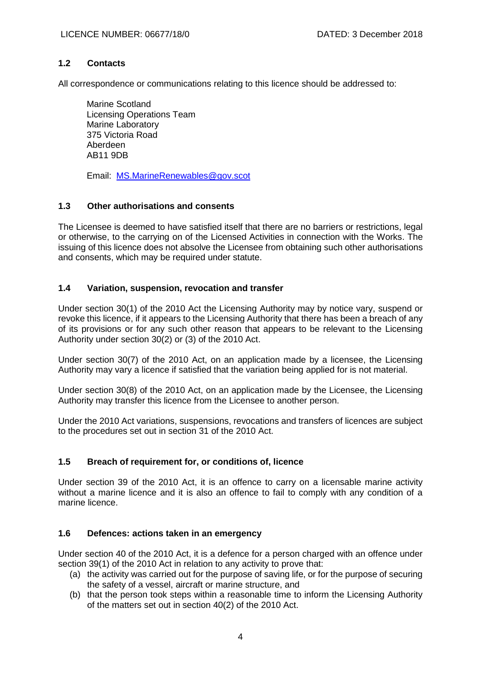## **1.2 Contacts**

All correspondence or communications relating to this licence should be addressed to:

Marine Scotland Licensing Operations Team Marine Laboratory 375 Victoria Road Aberdeen AB11 9DB

Email: MS.MarineRenewables@gov.scot

# **1.3 Other authorisations and consents**

The Licensee is deemed to have satisfied itself that there are no barriers or restrictions, legal or otherwise, to the carrying on of the Licensed Activities in connection with the Works. The issuing of this licence does not absolve the Licensee from obtaining such other authorisations and consents, which may be required under statute.

# **1.4 Variation, suspension, revocation and transfer**

Under section 30(1) of the 2010 Act the Licensing Authority may by notice vary, suspend or revoke this licence, if it appears to the Licensing Authority that there has been a breach of any of its provisions or for any such other reason that appears to be relevant to the Licensing Authority under section 30(2) or (3) of the 2010 Act.

Under section 30(7) of the 2010 Act, on an application made by a licensee, the Licensing Authority may vary a licence if satisfied that the variation being applied for is not material.

Under section 30(8) of the 2010 Act, on an application made by the Licensee, the Licensing Authority may transfer this licence from the Licensee to another person.

Under the 2010 Act variations, suspensions, revocations and transfers of licences are subject to the procedures set out in section 31 of the 2010 Act.

## **1.5 Breach of requirement for, or conditions of, licence**

Under section 39 of the 2010 Act, it is an offence to carry on a licensable marine activity without a marine licence and it is also an offence to fail to comply with any condition of a marine licence.

## **1.6 Defences: actions taken in an emergency**

Under section 40 of the 2010 Act, it is a defence for a person charged with an offence under section 39(1) of the 2010 Act in relation to any activity to prove that:

- (a) the activity was carried out for the purpose of saving life, or for the purpose of securing the safety of a vessel, aircraft or marine structure, and
- (b) that the person took steps within a reasonable time to inform the Licensing Authority of the matters set out in section 40(2) of the 2010 Act.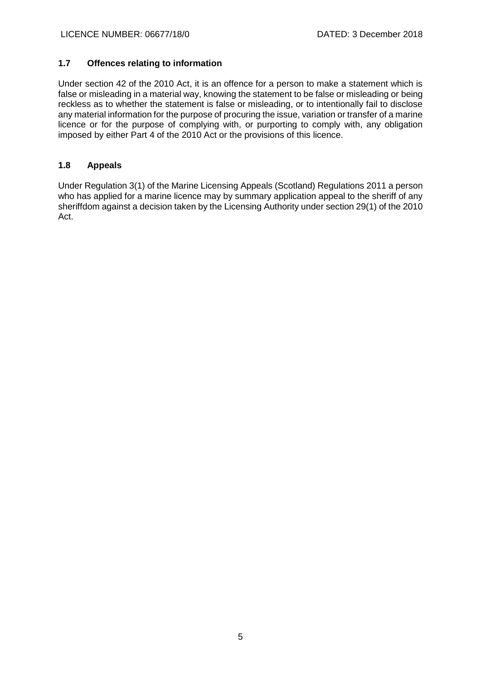# **1.7 Offences relating to information**

Under section 42 of the 2010 Act, it is an offence for a person to make a statement which is false or misleading in a material way, knowing the statement to be false or misleading or being reckless as to whether the statement is false or misleading, or to intentionally fail to disclose any material information for the purpose of procuring the issue, variation or transfer of a marine licence or for the purpose of complying with, or purporting to comply with, any obligation imposed by either Part 4 of the 2010 Act or the provisions of this licence.

# **1.8 Appeals**

Under Regulation 3(1) of the Marine Licensing Appeals (Scotland) Regulations 2011 a person who has applied for a marine licence may by summary application appeal to the sheriff of any sheriffdom against a decision taken by the Licensing Authority under section 29(1) of the 2010 Act.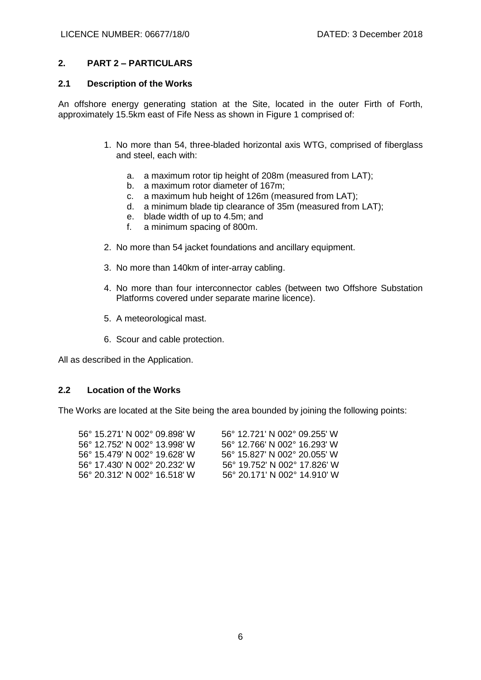#### **2. PART 2 – PARTICULARS**

#### **2.1 Description of the Works**

An offshore energy generating station at the Site, located in the outer Firth of Forth, approximately 15.5km east of Fife Ness as shown in Figure 1 comprised of:

- 1. No more than 54, three-bladed horizontal axis WTG, comprised of fiberglass and steel, each with:
	- a. a maximum rotor tip height of 208m (measured from LAT);
	- b. a maximum rotor diameter of 167m;
	- c. a maximum hub height of 126m (measured from LAT);
	- d. a minimum blade tip clearance of 35m (measured from LAT);
	- e. blade width of up to 4.5m; and
	- f. a minimum spacing of 800m.
- 2. No more than 54 jacket foundations and ancillary equipment.
- 3. No more than 140km of inter-array cabling.
- 4. No more than four interconnector cables (between two Offshore Substation Platforms covered under separate marine licence).
- 5. A meteorological mast.
- 6. Scour and cable protection.

All as described in the Application.

#### **2.2 Location of the Works**

The Works are located at the Site being the area bounded by joining the following points:

| 56° 15.271' N 002° 09.898' W | 56° 12.721′ N 002° 09.255′ W |
|------------------------------|------------------------------|
| 56° 12.752′ N 002° 13.998′ W | 56° 12.766′ N 002° 16.293′ W |
| 56° 15.479′ N 002° 19.628′ W | 56° 15.827' N 002° 20.055' W |
| 56° 17.430′ N 002° 20.232′ W | 56° 19.752′ N 002° 17.826′ W |
| 56° 20.312′ N 002° 16.518′ W | 56° 20.171' N 002° 14.910' W |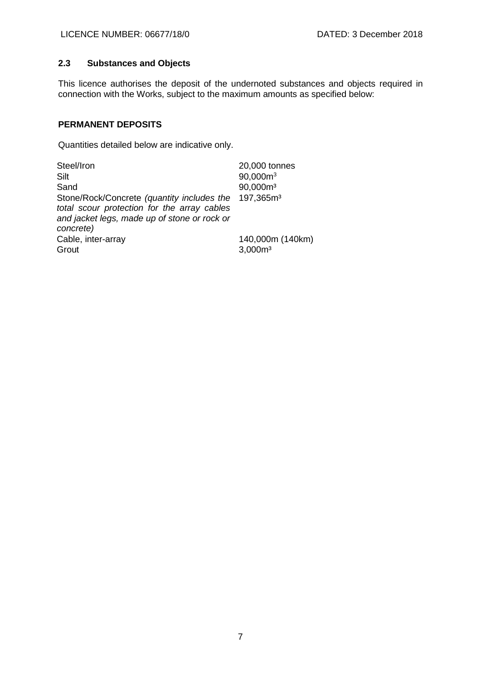# **2.3 Substances and Objects**

This licence authorises the deposit of the undernoted substances and objects required in connection with the Works, subject to the maximum amounts as specified below:

# **PERMANENT DEPOSITS**

Quantities detailed below are indicative only.

| Steel/Iron                                                                                                                                                                   | 20,000 tonnes                           |
|------------------------------------------------------------------------------------------------------------------------------------------------------------------------------|-----------------------------------------|
| Silt                                                                                                                                                                         | $90,000m^3$                             |
| Sand                                                                                                                                                                         | 90,000m <sup>3</sup>                    |
| Stone/Rock/Concrete (quantity includes the 197,365m <sup>3</sup><br>total scour protection for the array cables<br>and jacket legs, made up of stone or rock or<br>concrete) |                                         |
| Cable, inter-array<br>Grout                                                                                                                                                  | 140,000m (140km)<br>3,000m <sup>3</sup> |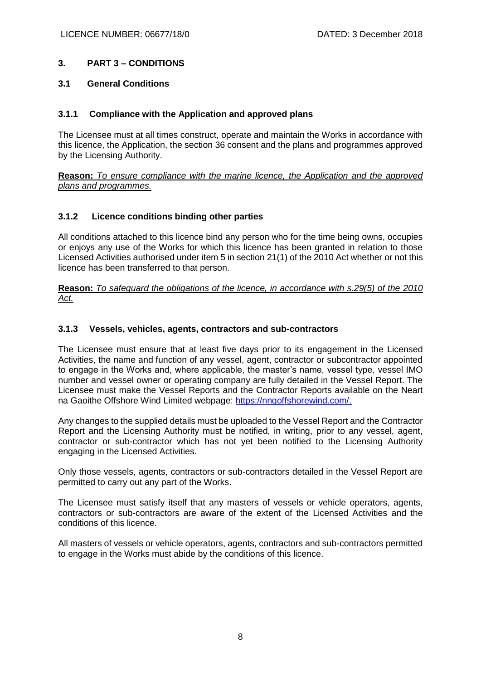# **3. PART 3 – CONDITIONS**

## **3.1 General Conditions**

## **3.1.1 Compliance with the Application and approved plans**

The Licensee must at all times construct, operate and maintain the Works in accordance with this licence, the Application, the section 36 consent and the plans and programmes approved by the Licensing Authority.

**Reason:** *To ensure compliance with the marine licence, the Application and the approved plans and programmes.* 

## **3.1.2 Licence conditions binding other parties**

All conditions attached to this licence bind any person who for the time being owns, occupies or enjoys any use of the Works for which this licence has been granted in relation to those Licensed Activities authorised under item 5 in section 21(1) of the 2010 Act whether or not this licence has been transferred to that person.

**Reason:** *To safeguard the obligations of the licence, in accordance with s.29(5) of the 2010 Act.*

## **3.1.3 Vessels, vehicles, agents, contractors and sub-contractors**

The Licensee must ensure that at least five days prior to its engagement in the Licensed Activities, the name and function of any vessel, agent, contractor or subcontractor appointed to engage in the Works and, where applicable, the master's name, vessel type, vessel IMO number and vessel owner or operating company are fully detailed in the Vessel Report. The Licensee must make the Vessel Reports and the Contractor Reports available on the Neart na Gaoithe Offshore Wind Limited webpage: https://nngoffshorewind.com/.

Any changes to the supplied details must be uploaded to the Vessel Report and the Contractor Report and the Licensing Authority must be notified, in writing, prior to any vessel, agent, contractor or sub-contractor which has not yet been notified to the Licensing Authority engaging in the Licensed Activities.

Only those vessels, agents, contractors or sub-contractors detailed in the Vessel Report are permitted to carry out any part of the Works.

The Licensee must satisfy itself that any masters of vessels or vehicle operators, agents, contractors or sub-contractors are aware of the extent of the Licensed Activities and the conditions of this licence.

All masters of vessels or vehicle operators, agents, contractors and sub-contractors permitted to engage in the Works must abide by the conditions of this licence.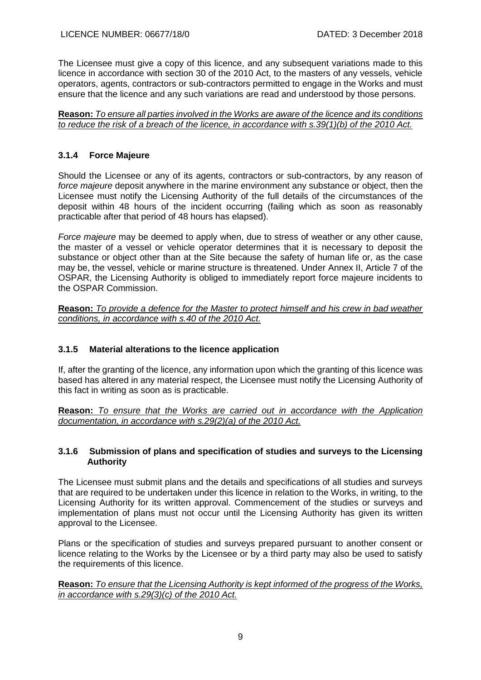The Licensee must give a copy of this licence, and any subsequent variations made to this licence in accordance with section 30 of the 2010 Act, to the masters of any vessels, vehicle operators, agents, contractors or sub-contractors permitted to engage in the Works and must ensure that the licence and any such variations are read and understood by those persons.

**Reason:** *To ensure all parties involved in the Works are aware of the licence and its conditions to reduce the risk of a breach of the licence, in accordance with s.39(1)(b) of the 2010 Act.*

# **3.1.4 Force Majeure**

Should the Licensee or any of its agents, contractors or sub-contractors, by any reason of *force majeure* deposit anywhere in the marine environment any substance or object, then the Licensee must notify the Licensing Authority of the full details of the circumstances of the deposit within 48 hours of the incident occurring (failing which as soon as reasonably practicable after that period of 48 hours has elapsed).

*Force majeure* may be deemed to apply when, due to stress of weather or any other cause, the master of a vessel or vehicle operator determines that it is necessary to deposit the substance or object other than at the Site because the safety of human life or, as the case may be, the vessel, vehicle or marine structure is threatened. Under Annex II, Article 7 of the OSPAR, the Licensing Authority is obliged to immediately report force majeure incidents to the OSPAR Commission.

**Reason:** *To provide a defence for the Master to protect himself and his crew in bad weather conditions, in accordance with s.40 of the 2010 Act.*

# **3.1.5 Material alterations to the licence application**

If, after the granting of the licence, any information upon which the granting of this licence was based has altered in any material respect, the Licensee must notify the Licensing Authority of this fact in writing as soon as is practicable.

**Reason:** *To ensure that the Works are carried out in accordance with the Application documentation, in accordance with s.29(2)(a) of the 2010 Act.*

## **3.1.6 Submission of plans and specification of studies and surveys to the Licensing Authority**

The Licensee must submit plans and the details and specifications of all studies and surveys that are required to be undertaken under this licence in relation to the Works, in writing, to the Licensing Authority for its written approval. Commencement of the studies or surveys and implementation of plans must not occur until the Licensing Authority has given its written approval to the Licensee.

Plans or the specification of studies and surveys prepared pursuant to another consent or licence relating to the Works by the Licensee or by a third party may also be used to satisfy the requirements of this licence.

**Reason:** *To ensure that the Licensing Authority is kept informed of the progress of the Works, in accordance with s.29(3)(c) of the 2010 Act.*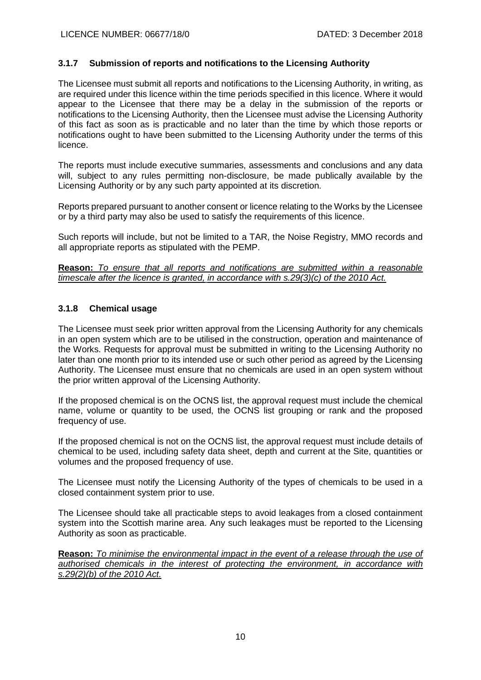## **3.1.7 Submission of reports and notifications to the Licensing Authority**

The Licensee must submit all reports and notifications to the Licensing Authority, in writing, as are required under this licence within the time periods specified in this licence. Where it would appear to the Licensee that there may be a delay in the submission of the reports or notifications to the Licensing Authority, then the Licensee must advise the Licensing Authority of this fact as soon as is practicable and no later than the time by which those reports or notifications ought to have been submitted to the Licensing Authority under the terms of this licence.

The reports must include executive summaries, assessments and conclusions and any data will, subject to any rules permitting non-disclosure, be made publically available by the Licensing Authority or by any such party appointed at its discretion.

Reports prepared pursuant to another consent or licence relating to the Works by the Licensee or by a third party may also be used to satisfy the requirements of this licence.

Such reports will include, but not be limited to a TAR, the Noise Registry, MMO records and all appropriate reports as stipulated with the PEMP.

**Reason:** *To ensure that all reports and notifications are submitted within a reasonable timescale after the licence is granted, in accordance with s.29(3)(c) of the 2010 Act.*

#### **3.1.8 Chemical usage**

The Licensee must seek prior written approval from the Licensing Authority for any chemicals in an open system which are to be utilised in the construction, operation and maintenance of the Works. Requests for approval must be submitted in writing to the Licensing Authority no later than one month prior to its intended use or such other period as agreed by the Licensing Authority. The Licensee must ensure that no chemicals are used in an open system without the prior written approval of the Licensing Authority.

If the proposed chemical is on the OCNS list, the approval request must include the chemical name, volume or quantity to be used, the OCNS list grouping or rank and the proposed frequency of use.

If the proposed chemical is not on the OCNS list, the approval request must include details of chemical to be used, including safety data sheet, depth and current at the Site, quantities or volumes and the proposed frequency of use.

The Licensee must notify the Licensing Authority of the types of chemicals to be used in a closed containment system prior to use.

The Licensee should take all practicable steps to avoid leakages from a closed containment system into the Scottish marine area. Any such leakages must be reported to the Licensing Authority as soon as practicable.

**Reason:** *To minimise the environmental impact in the event of a release through the use of authorised chemicals in the interest of protecting the environment, in accordance with s.29(2)(b) of the 2010 Act.*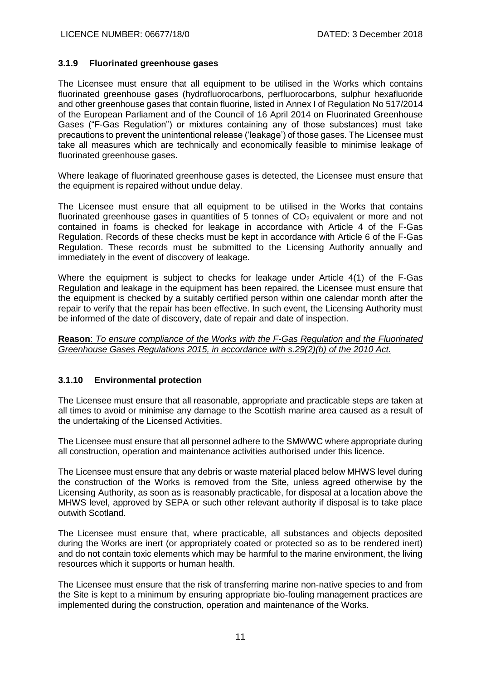#### **3.1.9 Fluorinated greenhouse gases**

The Licensee must ensure that all equipment to be utilised in the Works which contains fluorinated greenhouse gases (hydrofluorocarbons, perfluorocarbons, sulphur hexafluoride and other greenhouse gases that contain fluorine, listed in Annex I of Regulation No 517/2014 of the European Parliament and of the Council of 16 April 2014 on Fluorinated Greenhouse Gases ("F-Gas Regulation") or mixtures containing any of those substances) must take precautions to prevent the unintentional release ('leakage') of those gases. The Licensee must take all measures which are technically and economically feasible to minimise leakage of fluorinated greenhouse gases.

Where leakage of fluorinated greenhouse gases is detected, the Licensee must ensure that the equipment is repaired without undue delay.

The Licensee must ensure that all equipment to be utilised in the Works that contains fluorinated greenhouse gases in quantities of 5 tonnes of  $CO<sub>2</sub>$  equivalent or more and not contained in foams is checked for leakage in accordance with Article 4 of the F-Gas Regulation. Records of these checks must be kept in accordance with Article 6 of the F-Gas Regulation. These records must be submitted to the Licensing Authority annually and immediately in the event of discovery of leakage.

Where the equipment is subject to checks for leakage under Article 4(1) of the F-Gas Regulation and leakage in the equipment has been repaired, the Licensee must ensure that the equipment is checked by a suitably certified person within one calendar month after the repair to verify that the repair has been effective. In such event, the Licensing Authority must be informed of the date of discovery, date of repair and date of inspection.

**Reason**: *To ensure compliance of the Works with the F-Gas Regulation and the Fluorinated Greenhouse Gases Regulations 2015, in accordance with s.29(2)(b) of the 2010 Act.*

#### **3.1.10 Environmental protection**

The Licensee must ensure that all reasonable, appropriate and practicable steps are taken at all times to avoid or minimise any damage to the Scottish marine area caused as a result of the undertaking of the Licensed Activities.

The Licensee must ensure that all personnel adhere to the SMWWC where appropriate during all construction, operation and maintenance activities authorised under this licence.

The Licensee must ensure that any debris or waste material placed below MHWS level during the construction of the Works is removed from the Site, unless agreed otherwise by the Licensing Authority, as soon as is reasonably practicable, for disposal at a location above the MHWS level, approved by SEPA or such other relevant authority if disposal is to take place outwith Scotland.

The Licensee must ensure that, where practicable, all substances and objects deposited during the Works are inert (or appropriately coated or protected so as to be rendered inert) and do not contain toxic elements which may be harmful to the marine environment, the living resources which it supports or human health.

The Licensee must ensure that the risk of transferring marine non-native species to and from the Site is kept to a minimum by ensuring appropriate bio-fouling management practices are implemented during the construction, operation and maintenance of the Works.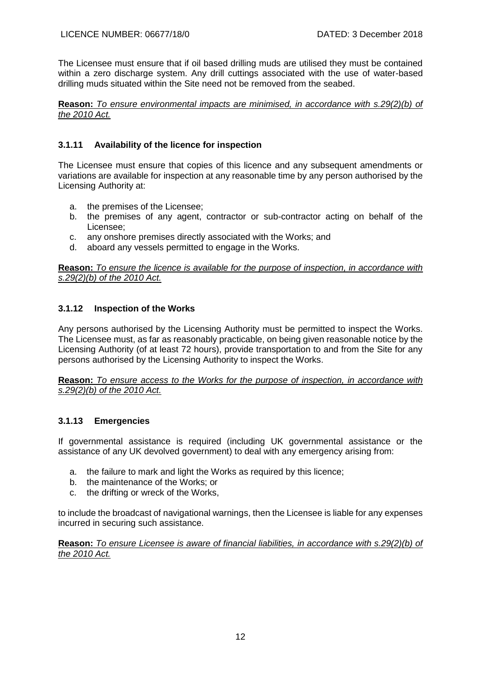The Licensee must ensure that if oil based drilling muds are utilised they must be contained within a zero discharge system. Any drill cuttings associated with the use of water-based drilling muds situated within the Site need not be removed from the seabed.

**Reason:** *To ensure environmental impacts are minimised, in accordance with s.29(2)(b) of the 2010 Act.*

# **3.1.11 Availability of the licence for inspection**

The Licensee must ensure that copies of this licence and any subsequent amendments or variations are available for inspection at any reasonable time by any person authorised by the Licensing Authority at:

- a. the premises of the Licensee;
- b. the premises of any agent, contractor or sub-contractor acting on behalf of the Licensee;
- c. any onshore premises directly associated with the Works; and
- d. aboard any vessels permitted to engage in the Works.

**Reason:** *To ensure the licence is available for the purpose of inspection, in accordance with s.29(2)(b) of the 2010 Act.*

# **3.1.12 Inspection of the Works**

Any persons authorised by the Licensing Authority must be permitted to inspect the Works. The Licensee must, as far as reasonably practicable, on being given reasonable notice by the Licensing Authority (of at least 72 hours), provide transportation to and from the Site for any persons authorised by the Licensing Authority to inspect the Works.

**Reason:** *To ensure access to the Works for the purpose of inspection, in accordance with s.29(2)(b) of the 2010 Act.*

# **3.1.13 Emergencies**

If governmental assistance is required (including UK governmental assistance or the assistance of any UK devolved government) to deal with any emergency arising from:

- a. the failure to mark and light the Works as required by this licence;
- b. the maintenance of the Works; or
- c. the drifting or wreck of the Works,

to include the broadcast of navigational warnings, then the Licensee is liable for any expenses incurred in securing such assistance.

**Reason:** *To ensure Licensee is aware of financial liabilities, in accordance with s.29(2)(b) of the 2010 Act.*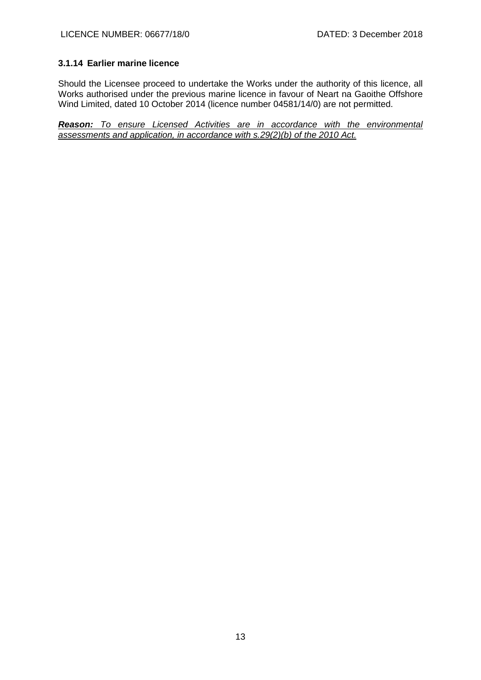# **3.1.14 Earlier marine licence**

Should the Licensee proceed to undertake the Works under the authority of this licence, all Works authorised under the previous marine licence in favour of Neart na Gaoithe Offshore Wind Limited, dated 10 October 2014 (licence number 04581/14/0) are not permitted.

*Reason: To ensure Licensed Activities are in accordance with the environmental assessments and application, in accordance with s.29(2)(b) of the 2010 Act.*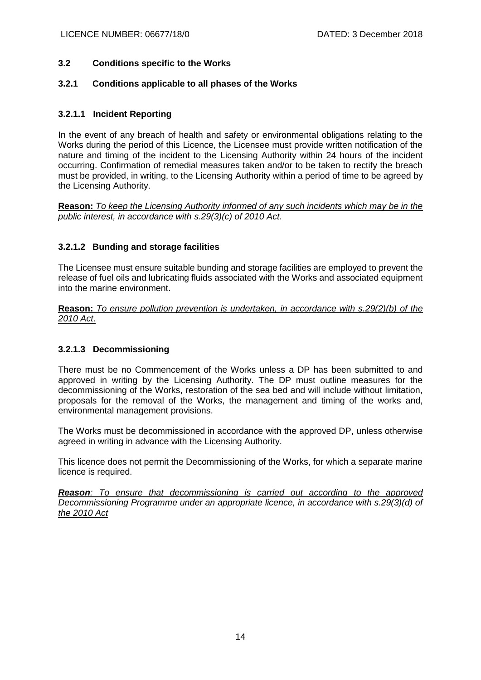# **3.2 Conditions specific to the Works**

## **3.2.1 Conditions applicable to all phases of the Works**

# **3.2.1.1 Incident Reporting**

In the event of any breach of health and safety or environmental obligations relating to the Works during the period of this Licence, the Licensee must provide written notification of the nature and timing of the incident to the Licensing Authority within 24 hours of the incident occurring. Confirmation of remedial measures taken and/or to be taken to rectify the breach must be provided, in writing, to the Licensing Authority within a period of time to be agreed by the Licensing Authority.

**Reason:** *To keep the Licensing Authority informed of any such incidents which may be in the public interest, in accordance with s.29(3)(c) of 2010 Act.*

# **3.2.1.2 Bunding and storage facilities**

The Licensee must ensure suitable bunding and storage facilities are employed to prevent the release of fuel oils and lubricating fluids associated with the Works and associated equipment into the marine environment.

**Reason:** *To ensure pollution prevention is undertaken, in accordance with s.29(2)(b) of the 2010 Act*.

## **3.2.1.3 Decommissioning**

There must be no Commencement of the Works unless a DP has been submitted to and approved in writing by the Licensing Authority. The DP must outline measures for the decommissioning of the Works, restoration of the sea bed and will include without limitation, proposals for the removal of the Works, the management and timing of the works and, environmental management provisions.

The Works must be decommissioned in accordance with the approved DP, unless otherwise agreed in writing in advance with the Licensing Authority.

This licence does not permit the Decommissioning of the Works, for which a separate marine licence is required.

*Reason: To ensure that decommissioning is carried out according to the approved Decommissioning Programme under an appropriate licence, in accordance with s.29(3)(d) of the 2010 Act*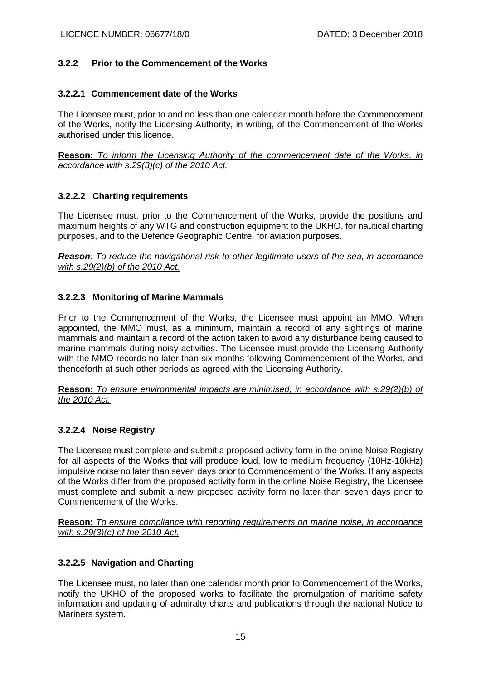## **3.2.2 Prior to the Commencement of the Works**

#### **3.2.2.1 Commencement date of the Works**

The Licensee must, prior to and no less than one calendar month before the Commencement of the Works, notify the Licensing Authority, in writing, of the Commencement of the Works authorised under this licence.

**Reason:** *To inform the Licensing Authority of the commencement date of the Works, in accordance with s.29(3)(c) of the 2010 Act.*

## **3.2.2.2 Charting requirements**

The Licensee must, prior to the Commencement of the Works, provide the positions and maximum heights of any WTG and construction equipment to the UKHO, for nautical charting purposes, and to the Defence Geographic Centre, for aviation purposes.

*Reason: To reduce the navigational risk to other legitimate users of the sea, in accordance with s.29(2)(b) of the 2010 Act.*

#### **3.2.2.3 Monitoring of Marine Mammals**

Prior to the Commencement of the Works, the Licensee must appoint an MMO. When appointed, the MMO must, as a minimum, maintain a record of any sightings of marine mammals and maintain a record of the action taken to avoid any disturbance being caused to marine mammals during noisy activities. The Licensee must provide the Licensing Authority with the MMO records no later than six months following Commencement of the Works, and thenceforth at such other periods as agreed with the Licensing Authority.

**Reason:** *To ensure environmental impacts are minimised, in accordance with s.29(2)(b) of the 2010 Act.*

## **3.2.2.4 Noise Registry**

The Licensee must complete and submit a proposed activity form in the online Noise Registry for all aspects of the Works that will produce loud, low to medium frequency (10Hz-10kHz) impulsive noise no later than seven days prior to Commencement of the Works. If any aspects of the Works differ from the proposed activity form in the online Noise Registry, the Licensee must complete and submit a new proposed activity form no later than seven days prior to Commencement of the Works.

**Reason:** *To ensure compliance with reporting requirements on marine noise, in accordance with s.29(3)(c) of the 2010 Act.*

## **3.2.2.5 Navigation and Charting**

The Licensee must, no later than one calendar month prior to Commencement of the Works, notify the UKHO of the proposed works to facilitate the promulgation of maritime safety information and updating of admiralty charts and publications through the national Notice to Mariners system.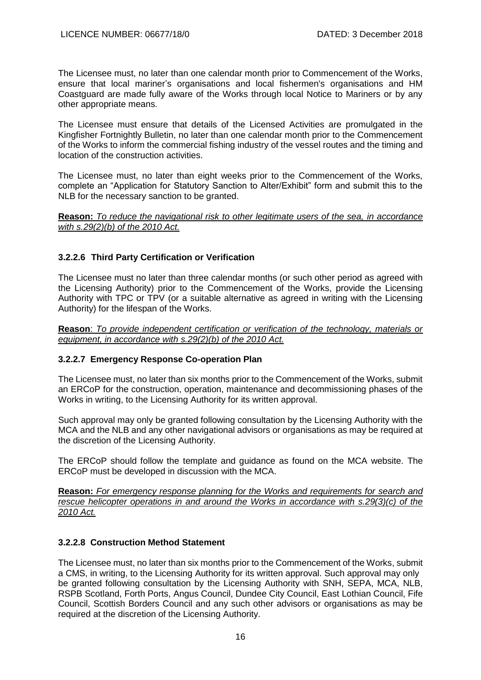The Licensee must, no later than one calendar month prior to Commencement of the Works, ensure that local mariner's organisations and local fishermen's organisations and HM Coastguard are made fully aware of the Works through local Notice to Mariners or by any other appropriate means.

The Licensee must ensure that details of the Licensed Activities are promulgated in the Kingfisher Fortnightly Bulletin, no later than one calendar month prior to the Commencement of the Works to inform the commercial fishing industry of the vessel routes and the timing and location of the construction activities.

The Licensee must, no later than eight weeks prior to the Commencement of the Works, complete an "Application for Statutory Sanction to Alter/Exhibit" form and submit this to the NLB for the necessary sanction to be granted.

**Reason:** *To reduce the navigational risk to other legitimate users of the sea, in accordance with s.29(2)(b) of the 2010 Act.*

# **3.2.2.6 Third Party Certification or Verification**

The Licensee must no later than three calendar months (or such other period as agreed with the Licensing Authority) prior to the Commencement of the Works, provide the Licensing Authority with TPC or TPV (or a suitable alternative as agreed in writing with the Licensing Authority) for the lifespan of the Works.

**Reason**: *To provide independent certification or verification of the technology, materials or equipment, in accordance with s.29(2)(b) of the 2010 Act.*

# **3.2.2.7 Emergency Response Co-operation Plan**

The Licensee must, no later than six months prior to the Commencement of the Works, submit an ERCoP for the construction, operation, maintenance and decommissioning phases of the Works in writing, to the Licensing Authority for its written approval.

Such approval may only be granted following consultation by the Licensing Authority with the MCA and the NLB and any other navigational advisors or organisations as may be required at the discretion of the Licensing Authority.

The ERCoP should follow the template and guidance as found on the MCA website. The ERCoP must be developed in discussion with the MCA.

**Reason:** *For emergency response planning for the Works and requirements for search and rescue helicopter operations in and around the Works in accordance with s.29(3)(c) of the 2010 Act.*

# **3.2.2.8 Construction Method Statement**

The Licensee must, no later than six months prior to the Commencement of the Works, submit a CMS, in writing, to the Licensing Authority for its written approval. Such approval may only be granted following consultation by the Licensing Authority with SNH, SEPA, MCA, NLB, RSPB Scotland, Forth Ports, Angus Council, Dundee City Council, East Lothian Council, Fife Council, Scottish Borders Council and any such other advisors or organisations as may be required at the discretion of the Licensing Authority.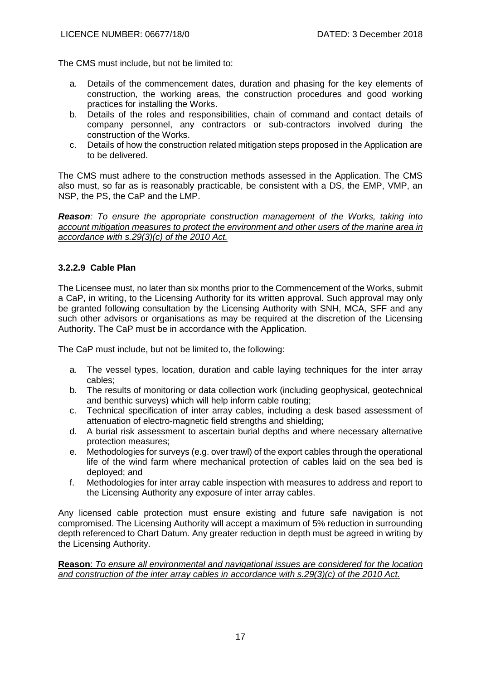The CMS must include, but not be limited to:

- a. Details of the commencement dates, duration and phasing for the key elements of construction, the working areas, the construction procedures and good working practices for installing the Works.
- b. Details of the roles and responsibilities, chain of command and contact details of company personnel, any contractors or sub-contractors involved during the construction of the Works.
- c. Details of how the construction related mitigation steps proposed in the Application are to be delivered.

The CMS must adhere to the construction methods assessed in the Application. The CMS also must, so far as is reasonably practicable, be consistent with a DS, the EMP, VMP, an NSP, the PS, the CaP and the LMP.

*Reason: To ensure the appropriate construction management of the Works, taking into account mitigation measures to protect the environment and other users of the marine area in accordance with s.29(3)(c) of the 2010 Act.*

# **3.2.2.9 Cable Plan**

The Licensee must, no later than six months prior to the Commencement of the Works, submit a CaP, in writing, to the Licensing Authority for its written approval. Such approval may only be granted following consultation by the Licensing Authority with SNH, MCA, SFF and any such other advisors or organisations as may be required at the discretion of the Licensing Authority. The CaP must be in accordance with the Application.

The CaP must include, but not be limited to, the following:

- a. The vessel types, location, duration and cable laying techniques for the inter array cables;
- b. The results of monitoring or data collection work (including geophysical, geotechnical and benthic surveys) which will help inform cable routing;
- c. Technical specification of inter array cables, including a desk based assessment of attenuation of electro‐magnetic field strengths and shielding;
- d. A burial risk assessment to ascertain burial depths and where necessary alternative protection measures;
- e. Methodologies for surveys (e.g. over trawl) of the export cables through the operational life of the wind farm where mechanical protection of cables laid on the sea bed is deployed; and
- f. Methodologies for inter array cable inspection with measures to address and report to the Licensing Authority any exposure of inter array cables.

Any licensed cable protection must ensure existing and future safe navigation is not compromised. The Licensing Authority will accept a maximum of 5% reduction in surrounding depth referenced to Chart Datum. Any greater reduction in depth must be agreed in writing by the Licensing Authority.

**Reason**: *To ensure all environmental and navigational issues are considered for the location and construction of the inter array cables in accordance with s.29(3)(c) of the 2010 Act.*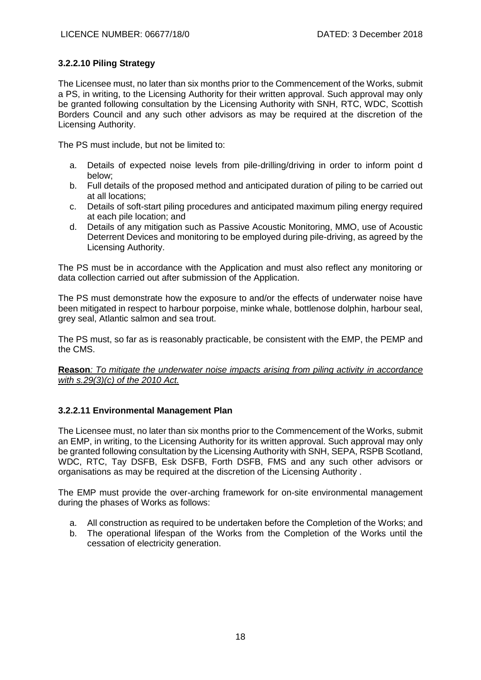# **3.2.2.10 Piling Strategy**

The Licensee must, no later than six months prior to the Commencement of the Works, submit a PS, in writing, to the Licensing Authority for their written approval. Such approval may only be granted following consultation by the Licensing Authority with SNH, RTC, WDC, Scottish Borders Council and any such other advisors as may be required at the discretion of the Licensing Authority.

The PS must include, but not be limited to:

- a. Details of expected noise levels from pile-drilling/driving in order to inform point d below;
- b. Full details of the proposed method and anticipated duration of piling to be carried out at all locations;
- c. Details of soft-start piling procedures and anticipated maximum piling energy required at each pile location; and
- d. Details of any mitigation such as Passive Acoustic Monitoring, MMO, use of Acoustic Deterrent Devices and monitoring to be employed during pile-driving, as agreed by the Licensing Authority.

The PS must be in accordance with the Application and must also reflect any monitoring or data collection carried out after submission of the Application.

The PS must demonstrate how the exposure to and/or the effects of underwater noise have been mitigated in respect to harbour porpoise, minke whale, bottlenose dolphin, harbour seal, grey seal, Atlantic salmon and sea trout.

The PS must, so far as is reasonably practicable, be consistent with the EMP, the PEMP and the CMS.

**Reason***: To mitigate the underwater noise impacts arising from piling activity in accordance with s.29(3)(c) of the 2010 Act.*

## **3.2.2.11 Environmental Management Plan**

The Licensee must, no later than six months prior to the Commencement of the Works, submit an EMP, in writing, to the Licensing Authority for its written approval. Such approval may only be granted following consultation by the Licensing Authority with SNH, SEPA, RSPB Scotland, WDC, RTC, Tay DSFB, Esk DSFB, Forth DSFB, FMS and any such other advisors or organisations as may be required at the discretion of the Licensing Authority .

The EMP must provide the over-arching framework for on-site environmental management during the phases of Works as follows:

- a. All construction as required to be undertaken before the Completion of the Works; and
- b. The operational lifespan of the Works from the Completion of the Works until the cessation of electricity generation.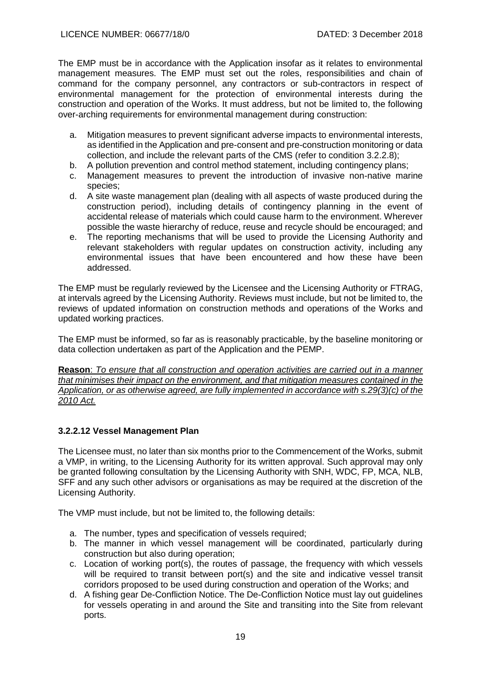The EMP must be in accordance with the Application insofar as it relates to environmental management measures. The EMP must set out the roles, responsibilities and chain of command for the company personnel, any contractors or sub-contractors in respect of environmental management for the protection of environmental interests during the construction and operation of the Works. It must address, but not be limited to, the following over-arching requirements for environmental management during construction:

- a. Mitigation measures to prevent significant adverse impacts to environmental interests, as identified in the Application and pre-consent and pre-construction monitoring or data collection, and include the relevant parts of the CMS (refer to condition 3.2.2.8);
- b. A pollution prevention and control method statement, including contingency plans;
- c. Management measures to prevent the introduction of invasive non-native marine species;
- d. A site waste management plan (dealing with all aspects of waste produced during the construction period), including details of contingency planning in the event of accidental release of materials which could cause harm to the environment. Wherever possible the waste hierarchy of reduce, reuse and recycle should be encouraged; and
- e. The reporting mechanisms that will be used to provide the Licensing Authority and relevant stakeholders with regular updates on construction activity, including any environmental issues that have been encountered and how these have been addressed.

The EMP must be regularly reviewed by the Licensee and the Licensing Authority or FTRAG, at intervals agreed by the Licensing Authority. Reviews must include, but not be limited to, the reviews of updated information on construction methods and operations of the Works and updated working practices.

The EMP must be informed, so far as is reasonably practicable, by the baseline monitoring or data collection undertaken as part of the Application and the PEMP.

**Reason**: *To ensure that all construction and operation activities are carried out in a manner that minimises their impact on the environment, and that mitigation measures contained in the Application, or as otherwise agreed, are fully implemented in accordance with s.29(3)(c) of the 2010 Act.*

# **3.2.2.12 Vessel Management Plan**

The Licensee must, no later than six months prior to the Commencement of the Works, submit a VMP, in writing, to the Licensing Authority for its written approval. Such approval may only be granted following consultation by the Licensing Authority with SNH, WDC, FP, MCA, NLB, SFF and any such other advisors or organisations as may be required at the discretion of the Licensing Authority.

The VMP must include, but not be limited to, the following details:

- a. The number, types and specification of vessels required;
- b. The manner in which vessel management will be coordinated, particularly during construction but also during operation;
- c. Location of working port(s), the routes of passage, the frequency with which vessels will be required to transit between port(s) and the site and indicative vessel transit corridors proposed to be used during construction and operation of the Works; and
- d. A fishing gear De-Confliction Notice. The De-Confliction Notice must lay out guidelines for vessels operating in and around the Site and transiting into the Site from relevant ports.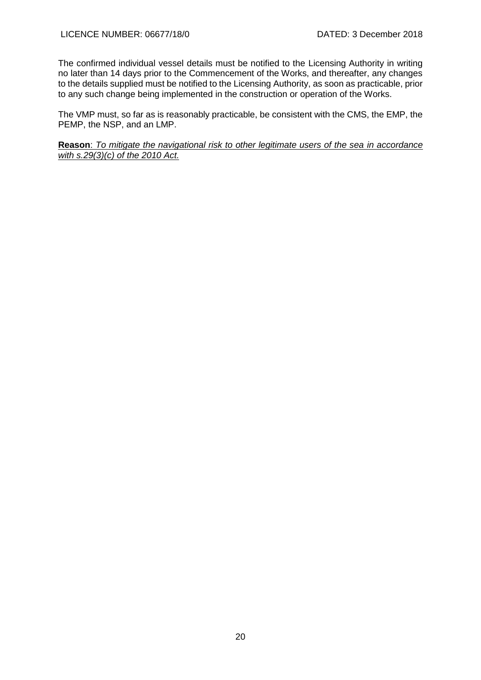The confirmed individual vessel details must be notified to the Licensing Authority in writing no later than 14 days prior to the Commencement of the Works, and thereafter, any changes to the details supplied must be notified to the Licensing Authority, as soon as practicable, prior to any such change being implemented in the construction or operation of the Works.

The VMP must, so far as is reasonably practicable, be consistent with the CMS, the EMP, the PEMP, the NSP, and an LMP.

**Reason**: *To mitigate the navigational risk to other legitimate users of the sea in accordance with s.29(3)(c) of the 2010 Act.*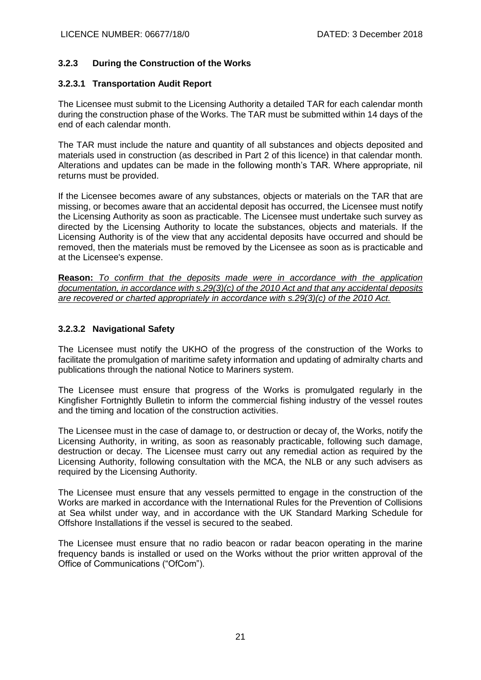# **3.2.3 During the Construction of the Works**

# **3.2.3.1 Transportation Audit Report**

The Licensee must submit to the Licensing Authority a detailed TAR for each calendar month during the construction phase of the Works. The TAR must be submitted within 14 days of the end of each calendar month.

The TAR must include the nature and quantity of all substances and objects deposited and materials used in construction (as described in Part 2 of this licence) in that calendar month. Alterations and updates can be made in the following month's TAR. Where appropriate, nil returns must be provided.

If the Licensee becomes aware of any substances, objects or materials on the TAR that are missing, or becomes aware that an accidental deposit has occurred, the Licensee must notify the Licensing Authority as soon as practicable. The Licensee must undertake such survey as directed by the Licensing Authority to locate the substances, objects and materials. If the Licensing Authority is of the view that any accidental deposits have occurred and should be removed, then the materials must be removed by the Licensee as soon as is practicable and at the Licensee's expense.

**Reason:** *To confirm that the deposits made were in accordance with the application documentation, in accordance with s.29(3)(c) of the 2010 Act and that any accidental deposits are recovered or charted appropriately in accordance with s.29(3)(c) of the 2010 Act.*

# **3.2.3.2 Navigational Safety**

The Licensee must notify the UKHO of the progress of the construction of the Works to facilitate the promulgation of maritime safety information and updating of admiralty charts and publications through the national Notice to Mariners system.

The Licensee must ensure that progress of the Works is promulgated regularly in the Kingfisher Fortnightly Bulletin to inform the commercial fishing industry of the vessel routes and the timing and location of the construction activities.

The Licensee must in the case of damage to, or destruction or decay of, the Works, notify the Licensing Authority, in writing, as soon as reasonably practicable, following such damage, destruction or decay. The Licensee must carry out any remedial action as required by the Licensing Authority, following consultation with the MCA, the NLB or any such advisers as required by the Licensing Authority.

The Licensee must ensure that any vessels permitted to engage in the construction of the Works are marked in accordance with the International Rules for the Prevention of Collisions at Sea whilst under way, and in accordance with the UK Standard Marking Schedule for Offshore Installations if the vessel is secured to the seabed.

The Licensee must ensure that no radio beacon or radar beacon operating in the marine frequency bands is installed or used on the Works without the prior written approval of the Office of Communications ("OfCom").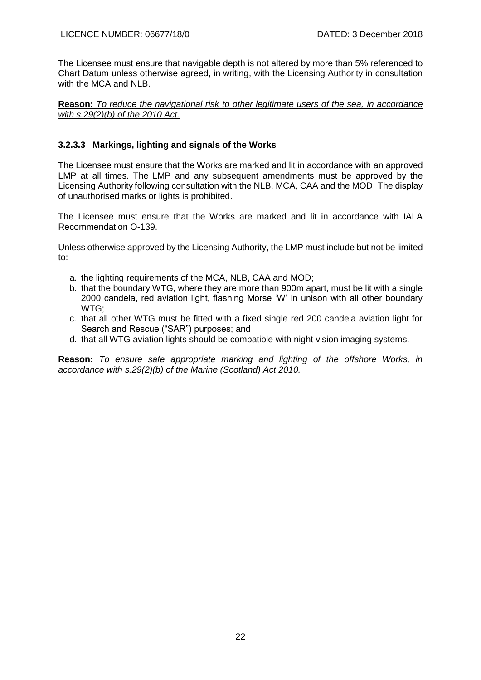The Licensee must ensure that navigable depth is not altered by more than 5% referenced to Chart Datum unless otherwise agreed, in writing, with the Licensing Authority in consultation with the MCA and NLB.

**Reason:** *To reduce the navigational risk to other legitimate users of the sea, in accordance with s.29(2)(b) of the 2010 Act.*

# **3.2.3.3 Markings, lighting and signals of the Works**

The Licensee must ensure that the Works are marked and lit in accordance with an approved LMP at all times. The LMP and any subsequent amendments must be approved by the Licensing Authority following consultation with the NLB, MCA, CAA and the MOD. The display of unauthorised marks or lights is prohibited.

The Licensee must ensure that the Works are marked and lit in accordance with IALA Recommendation O-139.

Unless otherwise approved by the Licensing Authority, the LMP must include but not be limited to:

- a. the lighting requirements of the MCA, NLB, CAA and MOD;
- b. that the boundary WTG, where they are more than 900m apart, must be lit with a single 2000 candela, red aviation light, flashing Morse 'W' in unison with all other boundary WTG;
- c. that all other WTG must be fitted with a fixed single red 200 candela aviation light for Search and Rescue ("SAR") purposes; and
- d. that all WTG aviation lights should be compatible with night vision imaging systems.

**Reason:** *To ensure safe appropriate marking and lighting of the offshore Works, in accordance with s.29(2)(b) of the Marine (Scotland) Act 2010.*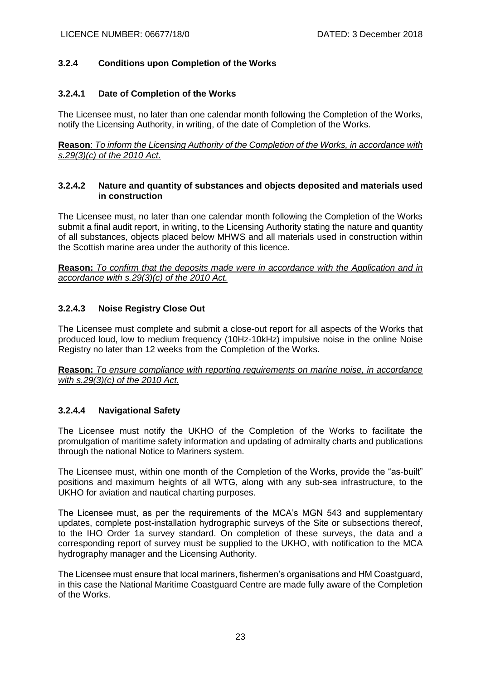# **3.2.4 Conditions upon Completion of the Works**

## **3.2.4.1 Date of Completion of the Works**

The Licensee must, no later than one calendar month following the Completion of the Works, notify the Licensing Authority, in writing, of the date of Completion of the Works.

**Reason**: *To inform the Licensing Authority of the Completion of the Works, in accordance with s.29(3)(c) of the 2010 Act.*

#### **3.2.4.2 Nature and quantity of substances and objects deposited and materials used in construction**

The Licensee must, no later than one calendar month following the Completion of the Works submit a final audit report, in writing, to the Licensing Authority stating the nature and quantity of all substances, objects placed below MHWS and all materials used in construction within the Scottish marine area under the authority of this licence.

**Reason:** *To confirm that the deposits made were in accordance with the Application and in accordance with s.29(3)(c) of the 2010 Act.*

## **3.2.4.3 Noise Registry Close Out**

The Licensee must complete and submit a close-out report for all aspects of the Works that produced loud, low to medium frequency (10Hz-10kHz) impulsive noise in the online Noise Registry no later than 12 weeks from the Completion of the Works.

**Reason:** *To ensure compliance with reporting requirements on marine noise, in accordance with s.29(3)(c) of the 2010 Act.*

## **3.2.4.4 Navigational Safety**

The Licensee must notify the UKHO of the Completion of the Works to facilitate the promulgation of maritime safety information and updating of admiralty charts and publications through the national Notice to Mariners system.

The Licensee must, within one month of the Completion of the Works, provide the "as-built" positions and maximum heights of all WTG, along with any sub-sea infrastructure, to the UKHO for aviation and nautical charting purposes.

The Licensee must, as per the requirements of the MCA's MGN 543 and supplementary updates, complete post-installation hydrographic surveys of the Site or subsections thereof, to the IHO Order 1a survey standard. On completion of these surveys, the data and a corresponding report of survey must be supplied to the UKHO, with notification to the MCA hydrography manager and the Licensing Authority.

The Licensee must ensure that local mariners, fishermen's organisations and HM Coastguard, in this case the National Maritime Coastguard Centre are made fully aware of the Completion of the Works.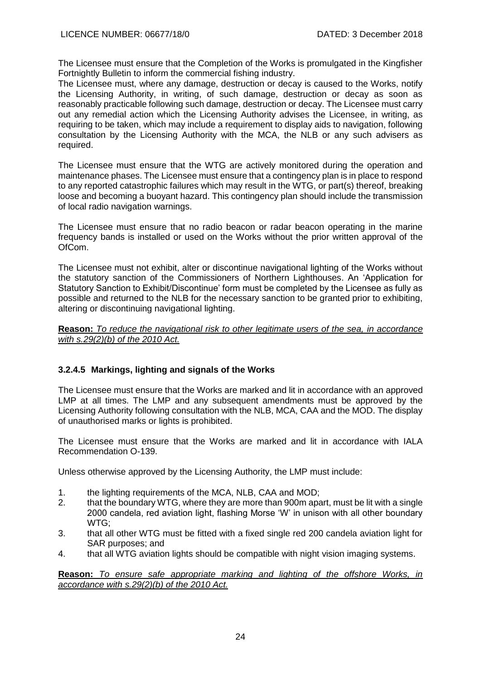The Licensee must ensure that the Completion of the Works is promulgated in the Kingfisher Fortnightly Bulletin to inform the commercial fishing industry.

The Licensee must, where any damage, destruction or decay is caused to the Works, notify the Licensing Authority, in writing, of such damage, destruction or decay as soon as reasonably practicable following such damage, destruction or decay. The Licensee must carry out any remedial action which the Licensing Authority advises the Licensee, in writing, as requiring to be taken, which may include a requirement to display aids to navigation, following consultation by the Licensing Authority with the MCA, the NLB or any such advisers as required.

The Licensee must ensure that the WTG are actively monitored during the operation and maintenance phases. The Licensee must ensure that a contingency plan is in place to respond to any reported catastrophic failures which may result in the WTG, or part(s) thereof, breaking loose and becoming a buoyant hazard. This contingency plan should include the transmission of local radio navigation warnings.

The Licensee must ensure that no radio beacon or radar beacon operating in the marine frequency bands is installed or used on the Works without the prior written approval of the OfCom.

The Licensee must not exhibit, alter or discontinue navigational lighting of the Works without the statutory sanction of the Commissioners of Northern Lighthouses. An 'Application for Statutory Sanction to Exhibit/Discontinue' form must be completed by the Licensee as fully as possible and returned to the NLB for the necessary sanction to be granted prior to exhibiting, altering or discontinuing navigational lighting.

**Reason:** *To reduce the navigational risk to other legitimate users of the sea, in accordance with s.29(2)(b) of the 2010 Act.*

# **3.2.4.5 Markings, lighting and signals of the Works**

The Licensee must ensure that the Works are marked and lit in accordance with an approved LMP at all times. The LMP and any subsequent amendments must be approved by the Licensing Authority following consultation with the NLB, MCA, CAA and the MOD. The display of unauthorised marks or lights is prohibited.

The Licensee must ensure that the Works are marked and lit in accordance with IALA Recommendation O-139.

Unless otherwise approved by the Licensing Authority, the LMP must include:

- 1. the lighting requirements of the MCA, NLB, CAA and MOD;
- 2. that the boundary WTG, where they are more than 900m apart, must be lit with a single 2000 candela, red aviation light, flashing Morse 'W' in unison with all other boundary WTG;
- 3. that all other WTG must be fitted with a fixed single red 200 candela aviation light for SAR purposes; and
- 4. that all WTG aviation lights should be compatible with night vision imaging systems.

**Reason:** *To ensure safe appropriate marking and lighting of the offshore Works, in accordance with s.29(2)(b) of the 2010 Act.*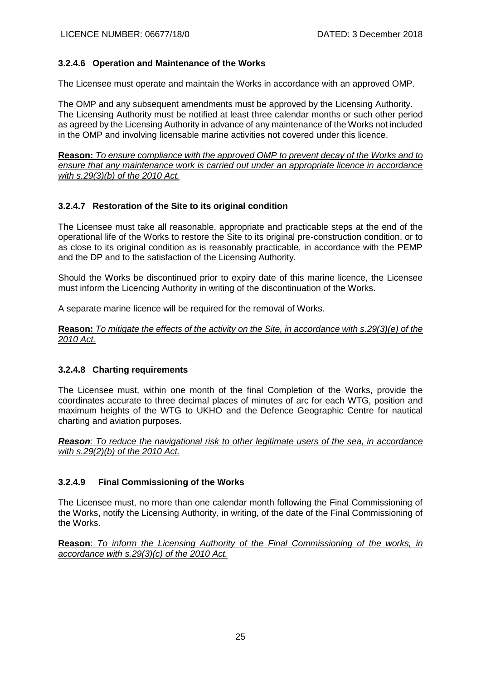# **3.2.4.6 Operation and Maintenance of the Works**

The Licensee must operate and maintain the Works in accordance with an approved OMP.

The OMP and any subsequent amendments must be approved by the Licensing Authority. The Licensing Authority must be notified at least three calendar months or such other period as agreed by the Licensing Authority in advance of any maintenance of the Works not included in the OMP and involving licensable marine activities not covered under this licence.

**Reason:** *To ensure compliance with the approved OMP to prevent decay of the Works and to ensure that any maintenance work is carried out under an appropriate licence in accordance with s.29(3)(b) of the 2010 Act.*

# **3.2.4.7 Restoration of the Site to its original condition**

The Licensee must take all reasonable, appropriate and practicable steps at the end of the operational life of the Works to restore the Site to its original pre-construction condition, or to as close to its original condition as is reasonably practicable, in accordance with the PEMP and the DP and to the satisfaction of the Licensing Authority.

Should the Works be discontinued prior to expiry date of this marine licence, the Licensee must inform the Licencing Authority in writing of the discontinuation of the Works.

A separate marine licence will be required for the removal of Works.

**Reason:** *To mitigate the effects of the activity on the Site, in accordance with s.29(3)(e) of the 2010 Act.*

## **3.2.4.8 Charting requirements**

The Licensee must, within one month of the final Completion of the Works, provide the coordinates accurate to three decimal places of minutes of arc for each WTG, position and maximum heights of the WTG to UKHO and the Defence Geographic Centre for nautical charting and aviation purposes.

*Reason: To reduce the navigational risk to other legitimate users of the sea, in accordance with s.29(2)(b) of the 2010 Act.*

## **3.2.4.9 Final Commissioning of the Works**

The Licensee must, no more than one calendar month following the Final Commissioning of the Works, notify the Licensing Authority, in writing, of the date of the Final Commissioning of the Works.

**Reason**: *To inform the Licensing Authority of the Final Commissioning of the works, in accordance with s.29(3)(c) of the 2010 Act.*